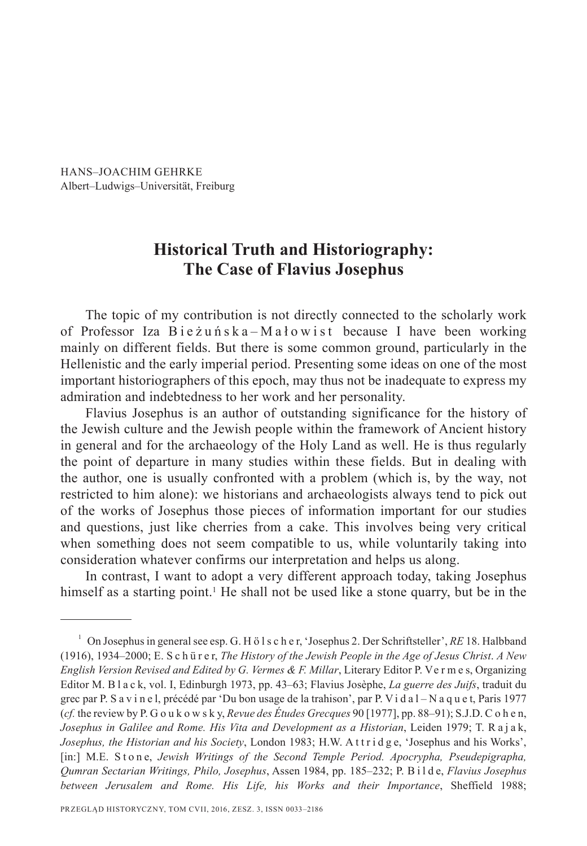HANS–JOACHIM GEHRKE Albert–Ludwigs–Universität, Freiburg

# **Historical Truth and Historiography: The Case of Flavius Josephus**

The topic of my contribution is not directly connected to the scholarly work of Professor Iza Bieżuńska-Małowist because I have been working mainly on different fields. But there is some common ground, particularly in the Hellenistic and the early imperial period. Presenting some ideas on one of the most important historiographers of this epoch, may thus not be inadequate to express my admiration and indebtedness to her work and her personality.

Flavius Josephus is an author of outstanding significance for the history of the Jewish culture and the Jewish people within the framework of Ancient history in general and for the archaeology of the Holy Land as well. He is thus regularly the point of departure in many studies within these fields. But in dealing with the author, one is usually confronted with a problem (which is, by the way, not restricted to him alone): we historians and archaeologists always tend to pick out of the works of Josephus those pieces of information important for our studies and questions, just like cherries from a cake. This involves being very critical when something does not seem compatible to us, while voluntarily taking into consideration whatever confirms our interpretation and helps us along.

In contrast, I want to adopt a very different approach today, taking Josephus himself as a starting point.<sup>1</sup> He shall not be used like a stone quarry, but be in the

<sup>1</sup> On Josephus in general see esp. G. H ö l s c h e r, 'Josephus 2. Der Schriftsteller', *RE* 18. Halbband (1916), 1934–2000; E. S c h ü r e r, *The History of the Jewish People in the Age of Jesus Christ*. *A New English Version Revised and Edited by G. Vermes & F. Millar*, Literary Editor P. Ve r m e s, Organizing Editor M. B l a c k, vol. I, Edinburgh 1973, pp. 43–63; Flavius Josèphe, *La guerre des Juifs*, traduit du grec par P. S a v i n e l, précédé par 'Du bon usage de la trahison', par P. V i d a l – N a q u e t, Paris 1977 (*cf.* the review by P. G o u k o w s k y, *Revue des Études Grecques* 90 [1977], pp. 88–91); S.J.D. C o h e n, *Josephus in Galilee and Rome. His Vita and Development as a Historian*, Leiden 1979; T. R a j a k, *Josephus, the Historian and his Society*, London 1983; H.W. A t t r i d g e, 'Josephus and his Works', [in:] M.E. Stone, *Jewish Writings of the Second Temple Period. Apocrypha, Pseudepigrapha, Qumran Sectarian Writings, Philo, Josephus*, Assen 1984, pp. 185–232; P. B i l d e, *Flavius Josephus between Jerusalem and Rome. His Life, his Works and their Importance*, Sheffield 1988;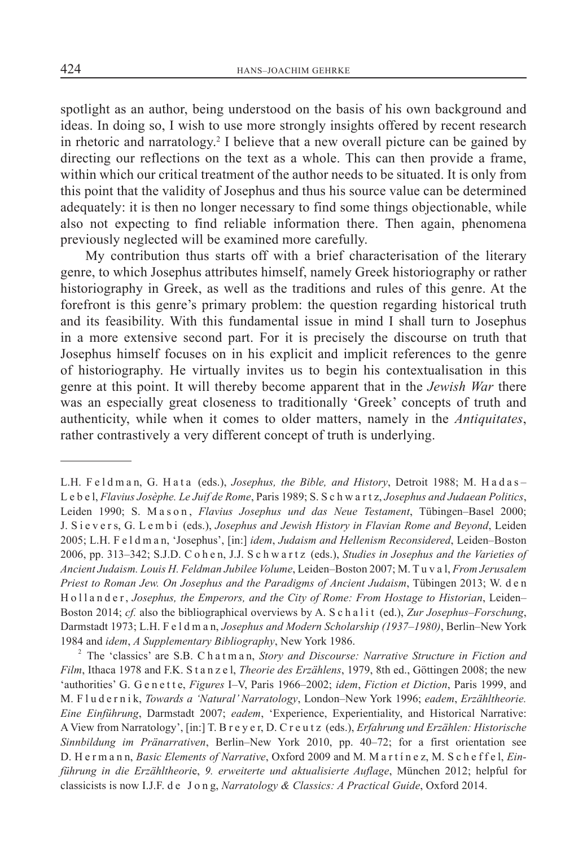spotlight as an author, being understood on the basis of his own background and ideas. In doing so, I wish to use more strongly insights offered by recent research in rhetoric and narratology.2 I believe that a new overall picture can be gained by directing our reflections on the text as a whole. This can then provide a frame, within which our critical treatment of the author needs to be situated. It is only from this point that the validity of Josephus and thus his source value can be determined adequately: it is then no longer necessary to find some things objectionable, while also not expecting to find reliable information there. Then again, phenomena previously neglected will be examined more carefully.

My contribution thus starts off with a brief characterisation of the literary genre, to which Josephus attributes himself, namely Greek historiography or rather historiography in Greek, as well as the traditions and rules of this genre. At the forefront is this genre's primary problem: the question regarding historical truth and its feasibility. With this fundamental issue in mind I shall turn to Josephus in a more extensive second part. For it is precisely the discourse on truth that Josephus himself focuses on in his explicit and implicit references to the genre of historiography. He virtually invites us to begin his contextualisation in this genre at this point. It will thereby become apparent that in the *Jewish War* there was an especially great closeness to traditionally 'Greek' concepts of truth and authenticity, while when it comes to older matters, namely in the *Antiquitates*, rather contrastively a very different concept of truth is underlying.

L.H. F e l d m a n, G. H a t a (eds.), *Josephus, the Bible, and History*, Detroit 1988; M. H a d a s -L e b e l, *Flavius Josèphe. Le Juif de Rome*, Paris 1989; S. S c h w a r t z, *Josephus and Judaean Politics*, Leiden 1990; S. Mason, *Flavius Josephus und das Neue Testament*, Tübingen–Basel 2000; J. S i e v e r s, G. L e m b i (eds.), *Josephus and Jewish History in Flavian Rome and Beyond*, Leiden 2005; L.H. F e l d m a n, 'Josephus', [in:] *idem*, *Judaism and Hellenism Reconsidered*, Leiden–Boston 2006, pp. 313–342; S.J.D. C o h e n, J.J. S c h w a r t z (eds.), *Studies in Josephus and the Varieties of Ancient Judaism. Louis H. Feldman Jubilee Volume*, Leiden–Boston 2007; M. T u v a l, *From Jerusalem Priest to Roman Jew. On Josephus and the Paradigms of Ancient Judaism*, Tübingen 2013; W. d e n H o l l a n d e r , *Josephus, the Emperors, and the City of Rome: From Hostage to Historian*, Leiden– Boston 2014; *cf.* also the bibliographical overviews by A. S c h a l i t (ed.), *Zur Josephus–Forschung*, Darmstadt 1973; L.H. F e l d m a n, *Josephus and Modern Scholarship (1937–1980)*, Berlin–New York 1984 and *idem*, *A Supplementary Bibliography*, New York 1986.

<sup>&</sup>lt;sup>2</sup> The 'classics' are S.B. Chatman, *Story and Discourse: Narrative Structure in Fiction and Film*, Ithaca 1978 and F.K. S t a n z e l, *Theorie des Erzählens*, 1979, 8th ed., Göttingen 2008; the new 'authorities' G. G e n e t t e, *Figures* I–V, Paris 1966–2002; *idem*, *Fiction et Diction*, Paris 1999, and M. F l u d e r n i k, *Towards a 'Natural' Narratology*, London–New York 1996; *eadem*, *Erzähltheorie. Eine Einführung*, Darmstadt 2007; *eadem*, 'Experience, Experientiality, and Historical Narrative: A View from Narratology', [in:] T. B r e y e r, D. C r e u t z (eds.), *Erfahrung und Erzählen: Historische Sinnbildung im Pränarrativen*, Berlin–New York 2010, pp. 40–72; for a first orientation see D. H e r m a n n, *Basic Elements of Narrative*, Oxford 2009 and M. M a r t í n e z, M. S c h e f f e l, *Einführung in die Erzähltheori*e, *9. erweiterte und aktualisierte Auflage*, München 2012; helpful for classicists is now I.J.F. d e J o n g, *Narratology & Classics: A Practical Guide*, Oxford 2014.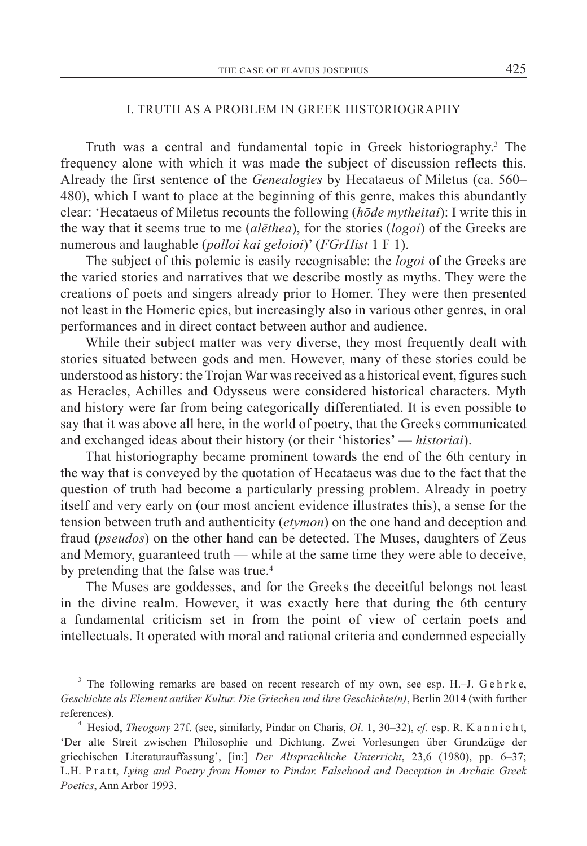## I. TRUTH AS A PROBLEM IN GREEK HISTORIOGRAPHY

Truth was a central and fundamental topic in Greek historiography.3 The frequency alone with which it was made the subject of discussion reflects this. Already the first sentence of the *Genealogies* by Hecataeus of Miletus (ca. 560– 480), which I want to place at the beginning of this genre, makes this abundantly clear: 'Hecataeus of Miletus recounts the following (*hōde mytheitai*): I write this in the way that it seems true to me (*alēthea*), for the stories (*logoi*) of the Greeks are numerous and laughable (*polloi kai geloioi*)' (*FGrHist* 1 F 1).

The subject of this polemic is easily recognisable: the *logoi* of the Greeks are the varied stories and narratives that we describe mostly as myths. They were the creations of poets and singers already prior to Homer. They were then presented not least in the Homeric epics, but increasingly also in various other genres, in oral performances and in direct contact between author and audience.

While their subject matter was very diverse, they most frequently dealt with stories situated between gods and men. However, many of these stories could be understood as history: the Trojan War was received as a historical event, figures such as Heracles, Achilles and Odysseus were considered historical characters. Myth and history were far from being categorically differentiated. It is even possible to say that it was above all here, in the world of poetry, that the Greeks communicated and exchanged ideas about their history (or their 'histories' — *historiai*).

That historiography became prominent towards the end of the 6th century in the way that is conveyed by the quotation of Hecataeus was due to the fact that the question of truth had become a particularly pressing problem. Already in poetry itself and very early on (our most ancient evidence illustrates this), a sense for the tension between truth and authenticity (*etymon*) on the one hand and deception and fraud (*pseudos*) on the other hand can be detected. The Muses, daughters of Zeus and Memory, guaranteed truth — while at the same time they were able to deceive, by pretending that the false was true.<sup>4</sup>

The Muses are goddesses, and for the Greeks the deceitful belongs not least in the divine realm. However, it was exactly here that during the 6th century a fundamental criticism set in from the point of view of certain poets and intellectuals. It operated with moral and rational criteria and condemned especially

 $3$  The following remarks are based on recent research of my own, see esp. H.–J. G e h r k e, *Geschichte als Element antiker Kultur. Die Griechen und ihre Geschichte(n)*, Berlin 2014 (with further references).

<sup>4</sup> Hesiod, *Theogony* 27f. (see, similarly, Pindar on Charis, *Ol*. 1, 30–32), *cf.* esp. R. K a n n i c h t, 'Der alte Streit zwischen Philosophie und Dichtung. Zwei Vorlesungen über Grundzüge der griechischen Literaturauffassung', [in:] *Der Altsprachliche Unterricht*, 23,6 (1980), pp. 6–37; L.H. P r a t t, *Lying and Poetry from Homer to Pindar. Falsehood and Deception in Archaic Greek Poetics*, Ann Arbor 1993.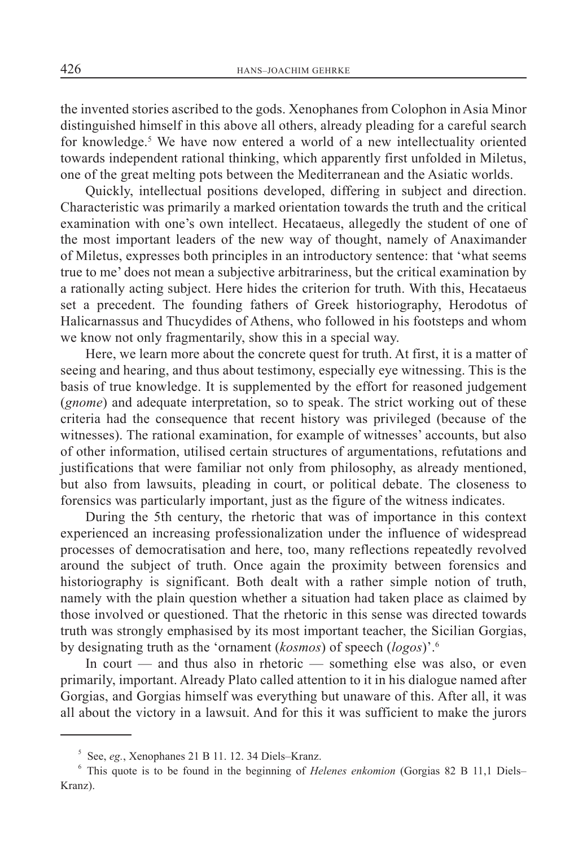the invented stories ascribed to the gods. Xenophanes from Colophon in Asia Minor distinguished himself in this above all others, already pleading for a careful search for knowledge.<sup>5</sup> We have now entered a world of a new intellectuality oriented towards independent rational thinking, which apparently first unfolded in Miletus, one of the great melting pots between the Mediterranean and the Asiatic worlds.

Quickly, intellectual positions developed, differing in subject and direction. Characteristic was primarily a marked orientation towards the truth and the critical examination with one's own intellect. Hecataeus, allegedly the student of one of the most important leaders of the new way of thought, namely of Anaximander of Miletus, expresses both principles in an introductory sentence: that 'what seems true to me' does not mean a subjective arbitrariness, but the critical examination by a rationally acting subject. Here hides the criterion for truth. With this, Hecataeus set a precedent. The founding fathers of Greek historiography, Herodotus of Halicarnassus and Thucydides of Athens, who followed in his footsteps and whom we know not only fragmentarily, show this in a special way.

Here, we learn more about the concrete quest for truth. At first, it is a matter of seeing and hearing, and thus about testimony, especially eye witnessing. This is the basis of true knowledge. It is supplemented by the effort for reasoned judgement (*gnome*) and adequate interpretation, so to speak. The strict working out of these criteria had the consequence that recent history was privileged (because of the witnesses). The rational examination, for example of witnesses' accounts, but also of other information, utilised certain structures of argumentations, refutations and justifications that were familiar not only from philosophy, as already mentioned, but also from lawsuits, pleading in court, or political debate. The closeness to forensics was particularly important, just as the figure of the witness indicates.

During the 5th century, the rhetoric that was of importance in this context experienced an increasing professionalization under the influence of widespread processes of democratisation and here, too, many reflections repeatedly revolved around the subject of truth. Once again the proximity between forensics and historiography is significant. Both dealt with a rather simple notion of truth, namely with the plain question whether a situation had taken place as claimed by those involved or questioned. That the rhetoric in this sense was directed towards truth was strongly emphasised by its most important teacher, the Sicilian Gorgias, by designating truth as the 'ornament (*kosmos*) of speech (*logos*)'.6

In court — and thus also in rhetoric — something else was also, or even primarily, important. Already Plato called attention to it in his dialogue named after Gorgias, and Gorgias himself was everything but unaware of this. After all, it was all about the victory in a lawsuit. And for this it was sufficient to make the jurors

<sup>5</sup> See, *eg.*, Xenophanes 21 B 11. 12. 34 Diels–Kranz.

<sup>6</sup> This quote is to be found in the beginning of *Helenes enkomion* (Gorgias 82 B 11,1 Diels– Kranz).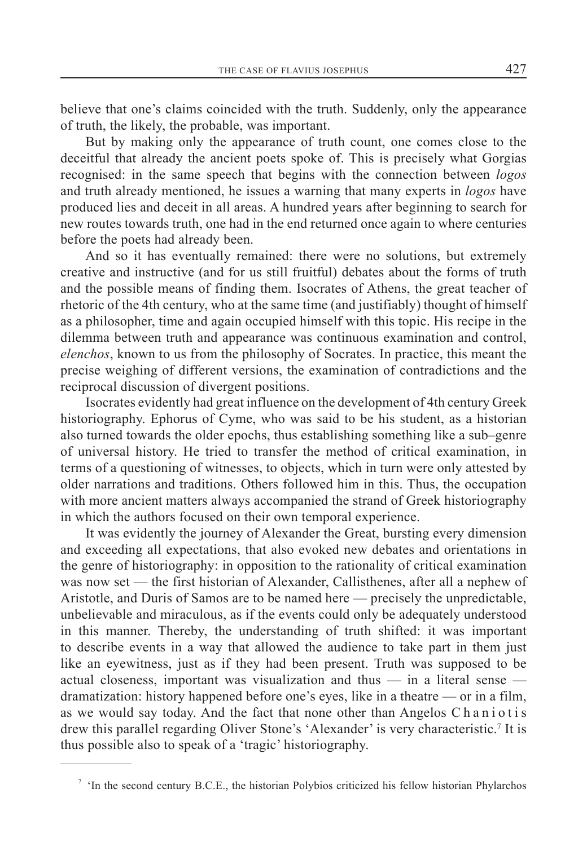believe that one's claims coincided with the truth. Suddenly, only the appearance of truth, the likely, the probable, was important.

But by making only the appearance of truth count, one comes close to the deceitful that already the ancient poets spoke of. This is precisely what Gorgias recognised: in the same speech that begins with the connection between *logos* and truth already mentioned, he issues a warning that many experts in *logos* have produced lies and deceit in all areas. A hundred years after beginning to search for new routes towards truth, one had in the end returned once again to where centuries before the poets had already been.

And so it has eventually remained: there were no solutions, but extremely creative and instructive (and for us still fruitful) debates about the forms of truth and the possible means of finding them. Isocrates of Athens, the great teacher of rhetoric of the 4th century, who at the same time (and justifiably) thought of himself as a philosopher, time and again occupied himself with this topic. His recipe in the dilemma between truth and appearance was continuous examination and control, *elenchos*, known to us from the philosophy of Socrates. In practice, this meant the precise weighing of different versions, the examination of contradictions and the reciprocal discussion of divergent positions.

Isocrates evidently had great influence on the development of 4th century Greek historiography. Ephorus of Cyme, who was said to be his student, as a historian also turned towards the older epochs, thus establishing something like a sub–genre of universal history. He tried to transfer the method of critical examination, in terms of a questioning of witnesses, to objects, which in turn were only attested by older narrations and traditions. Others followed him in this. Thus, the occupation with more ancient matters always accompanied the strand of Greek historiography in which the authors focused on their own temporal experience.

It was evidently the journey of Alexander the Great, bursting every dimension and exceeding all expectations, that also evoked new debates and orientations in the genre of historiography: in opposition to the rationality of critical examination was now set — the first historian of Alexander, Callisthenes, after all a nephew of Aristotle, and Duris of Samos are to be named here — precisely the unpredictable, unbelievable and miraculous, as if the events could only be adequately understood in this manner. Thereby, the understanding of truth shifted: it was important to describe events in a way that allowed the audience to take part in them just like an eyewitness, just as if they had been present. Truth was supposed to be actual closeness, important was visualization and thus — in a literal sense dramatization: history happened before one's eyes, like in a theatre — or in a film, as we would say today. And the fact that none other than Angelos Chaniotis drew this parallel regarding Oliver Stone's 'Alexander' is very characteristic.<sup>7</sup> It is thus possible also to speak of a 'tragic' historiography.

<sup>&</sup>lt;sup>7</sup> 'In the second century B.C.E., the historian Polybios criticized his fellow historian Phylarchos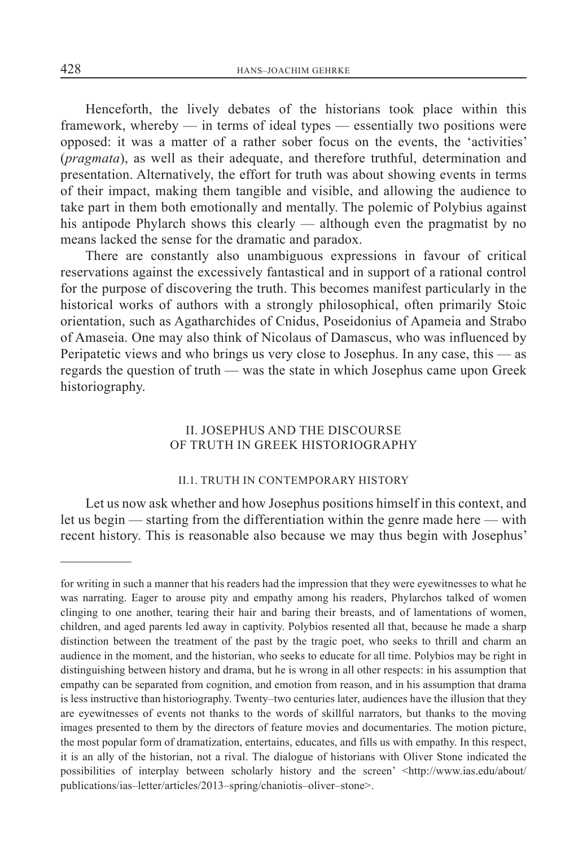Henceforth, the lively debates of the historians took place within this framework, whereby — in terms of ideal types — essentially two positions were opposed: it was a matter of a rather sober focus on the events, the 'activities' (*pragmata*), as well as their adequate, and therefore truthful, determination and presentation. Alternatively, the effort for truth was about showing events in terms of their impact, making them tangible and visible, and allowing the audience to take part in them both emotionally and mentally. The polemic of Polybius against his antipode Phylarch shows this clearly — although even the pragmatist by no means lacked the sense for the dramatic and paradox.

There are constantly also unambiguous expressions in favour of critical reservations against the excessively fantastical and in support of a rational control for the purpose of discovering the truth. This becomes manifest particularly in the historical works of authors with a strongly philosophical, often primarily Stoic orientation, such as Agatharchides of Cnidus, Poseidonius of Apameia and Strabo of Amaseia. One may also think of Nicolaus of Damascus, who was influenced by Peripatetic views and who brings us very close to Josephus. In any case, this — as regards the question of truth — was the state in which Josephus came upon Greek historiography.

## II. JOSEPHUS AND THE DISCOURSE OF TRUTH IN GREEK HISTORIOGRAPHY

#### II.1. TRUTH IN CONTEMPORARY HISTORY

Let us now ask whether and how Josephus positions himself in this context, and let us begin — starting from the differentiation within the genre made here — with recent history. This is reasonable also because we may thus begin with Josephus'

for writing in such a manner that his readers had the impression that they were eyewitnesses to what he was narrating. Eager to arouse pity and empathy among his readers, Phylarchos talked of women clinging to one another, tearing their hair and baring their breasts, and of lamentations of women, children, and aged parents led away in captivity. Polybios resented all that, because he made a sharp distinction between the treatment of the past by the tragic poet, who seeks to thrill and charm an audience in the moment, and the historian, who seeks to educate for all time. Polybios may be right in distinguishing between history and drama, but he is wrong in all other respects: in his assumption that empathy can be separated from cognition, and emotion from reason, and in his assumption that drama is less instructive than historiography. Twenty–two centuries later, audiences have the illusion that they are eyewitnesses of events not thanks to the words of skillful narrators, but thanks to the moving images presented to them by the directors of feature movies and documentaries. The motion picture, the most popular form of dramatization, entertains, educates, and fills us with empathy. In this respect, it is an ally of the historian, not a rival. The dialogue of historians with Oliver Stone indicated the possibilities of interplay between scholarly history and the screen' <http://www.ias.edu/about/ publications/ias–letter/articles/2013–spring/chaniotis–oliver–stone>.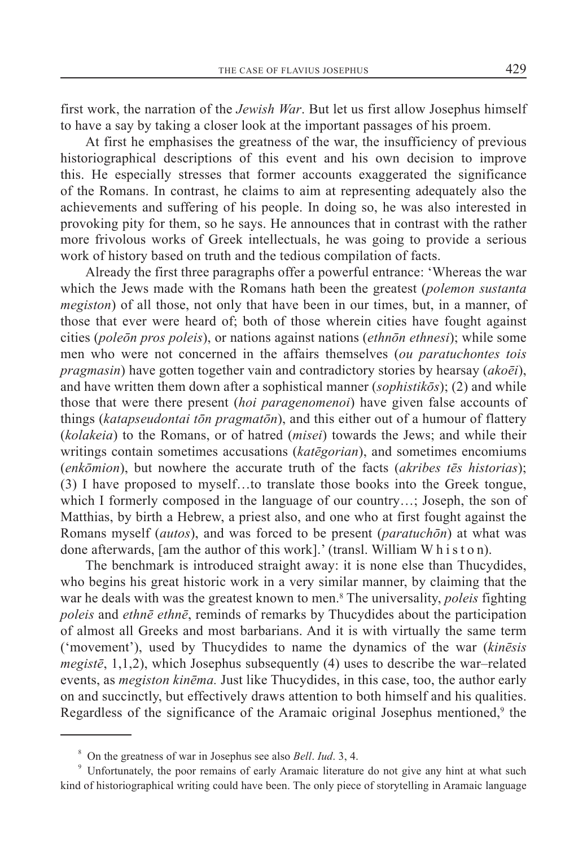first work, the narration of the *Jewish War*. But let us first allow Josephus himself to have a say by taking a closer look at the important passages of his proem.

At first he emphasises the greatness of the war, the insufficiency of previous historiographical descriptions of this event and his own decision to improve this. He especially stresses that former accounts exaggerated the significance of the Romans. In contrast, he claims to aim at representing adequately also the achievements and suffering of his people. In doing so, he was also interested in provoking pity for them, so he says. He announces that in contrast with the rather more frivolous works of Greek intellectuals, he was going to provide a serious work of history based on truth and the tedious compilation of facts.

Already the first three paragraphs offer a powerful entrance: 'Whereas the war which the Jews made with the Romans hath been the greatest (*polemon sustanta megiston*) of all those, not only that have been in our times, but, in a manner, of those that ever were heard of; both of those wherein cities have fought against cities (*poleōn pros poleis*), or nations against nations (*ethnōn ethnesi*); while some men who were not concerned in the affairs themselves (*ou paratuchontes tois pragmasin*) have gotten together vain and contradictory stories by hearsay (*akoēi*), and have written them down after a sophistical manner (*sophistikōs*); (2) and while those that were there present (*hoi paragenomenoi*) have given false accounts of things (*katapseudontai tōn pragmatōn*), and this either out of a humour of flattery (*kolakeia*) to the Romans, or of hatred (*misei*) towards the Jews; and while their writings contain sometimes accusations (*katēgorian*), and sometimes encomiums (*enkōmion*), but nowhere the accurate truth of the facts (*akribes tēs historias*); (3) I have proposed to myself…to translate those books into the Greek tongue, which I formerly composed in the language of our country…; Joseph, the son of Matthias, by birth a Hebrew, a priest also, and one who at first fought against the Romans myself (*autos*), and was forced to be present (*paratuchōn*) at what was done afterwards, [am the author of this work].' (transl. William W h i s t o n).

The benchmark is introduced straight away: it is none else than Thucydides, who begins his great historic work in a very similar manner, by claiming that the war he deals with was the greatest known to men.8 The universality, *poleis* fighting *poleis* and *ethnē ethnē*, reminds of remarks by Thucydides about the participation of almost all Greeks and most barbarians. And it is with virtually the same term ('movement'), used by Thucydides to name the dynamics of the war (*kinēsis megistē*, 1,1,2), which Josephus subsequently (4) uses to describe the war–related events, as *megiston kinēma.* Just like Thucydides, in this case, too, the author early on and succinctly, but effectively draws attention to both himself and his qualities. Regardless of the significance of the Aramaic original Josephus mentioned,<sup>9</sup> the

<sup>8</sup> On the greatness of war in Josephus see also *Bell*. *Iud*. 3, 4.

<sup>&</sup>lt;sup>9</sup> Unfortunately, the poor remains of early Aramaic literature do not give any hint at what such kind of historiographical writing could have been. The only piece of storytelling in Aramaic language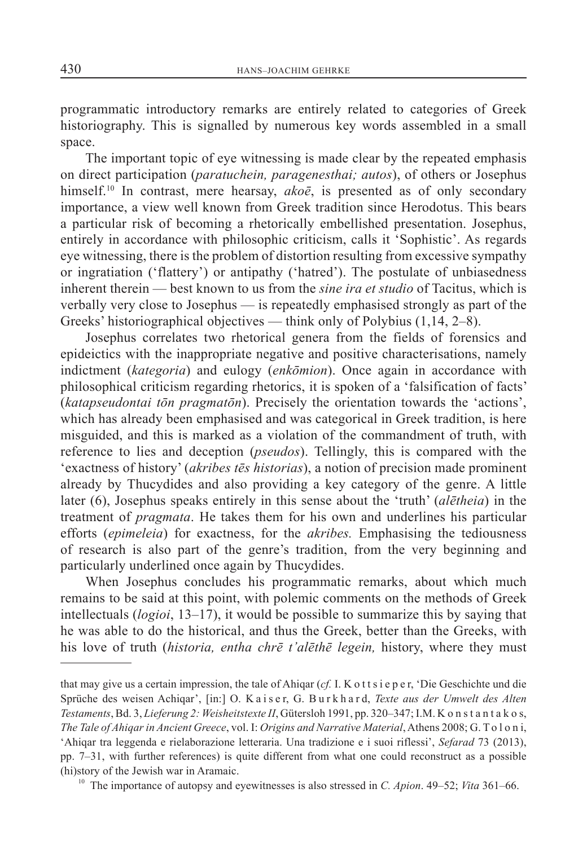programmatic introductory remarks are entirely related to categories of Greek historiography. This is signalled by numerous key words assembled in a small space.

The important topic of eye witnessing is made clear by the repeated emphasis on direct participation (*paratuchein, paragenesthai; autos*), of others or Josephus himself.10 In contrast, mere hearsay, *akoē*, is presented as of only secondary importance, a view well known from Greek tradition since Herodotus. This bears a particular risk of becoming a rhetorically embellished presentation. Josephus, entirely in accordance with philosophic criticism, calls it 'Sophistic'. As regards eye witnessing, there is the problem of distortion resulting from excessive sympathy or ingratiation ('flattery') or antipathy ('hatred'). The postulate of unbiasedness inherent therein — best known to us from the *sine ira et studio* of Tacitus, which is verbally very close to Josephus — is repeatedly emphasised strongly as part of the Greeks' historiographical objectives — think only of Polybius (1,14, 2–8).

Josephus correlates two rhetorical genera from the fields of forensics and epideictics with the inappropriate negative and positive characterisations, namely indictment (*kategoria*) and eulogy (*enkōmion*). Once again in accordance with philosophical criticism regarding rhetorics, it is spoken of a 'falsification of facts' (*katapseudontai tōn pragmatōn*). Precisely the orientation towards the 'actions', which has already been emphasised and was categorical in Greek tradition, is here misguided, and this is marked as a violation of the commandment of truth, with reference to lies and deception (*pseudos*). Tellingly, this is compared with the 'exactness of history' (*akribes tēs historias*), a notion of precision made prominent already by Thucydides and also providing a key category of the genre. A little later (6), Josephus speaks entirely in this sense about the 'truth' (*alētheia*) in the treatment of *pragmata*. He takes them for his own and underlines his particular efforts (*epimeleia*) for exactness, for the *akribes.* Emphasising the tediousness of research is also part of the genre's tradition, from the very beginning and particularly underlined once again by Thucydides.

When Josephus concludes his programmatic remarks, about which much remains to be said at this point, with polemic comments on the methods of Greek intellectuals (*logioi*, 13–17), it would be possible to summarize this by saying that he was able to do the historical, and thus the Greek, better than the Greeks, with his love of truth (*historia, entha chrē t'alēthē legein,* history, where they must

that may give us a certain impression, the tale of Ahiqar (*cf.* I. K o t t s i e p e r, 'Die Geschichte und die Sprüche des weisen Achiqar', [in:] O. K a i s e r, G. B u r k h a r d, *Texte aus der Umwelt des Alten Testaments*,Bd. 3, *Lieferung 2: Weisheitstexte II*, Gütersloh 1991, pp. 320–347; I.M. K o n s t a n t a k o s, *The Tale of Ahiqar in Ancient Greece*, vol. I: *Origins and Narrative Material*, Athens 2008; G. T o l o n i, 'Ahiqar tra leggenda e rielaborazione letteraria. Una tradizione e i suoi riflessi', *Sefarad* 73 (2013), pp. 7–31, with further references) is quite different from what one could reconstruct as a possible (hi)story of the Jewish war in Aramaic.

<sup>10</sup> The importance of autopsy and eyewitnesses is also stressed in *C. Apion*. 49–52; *Vita* 361–66.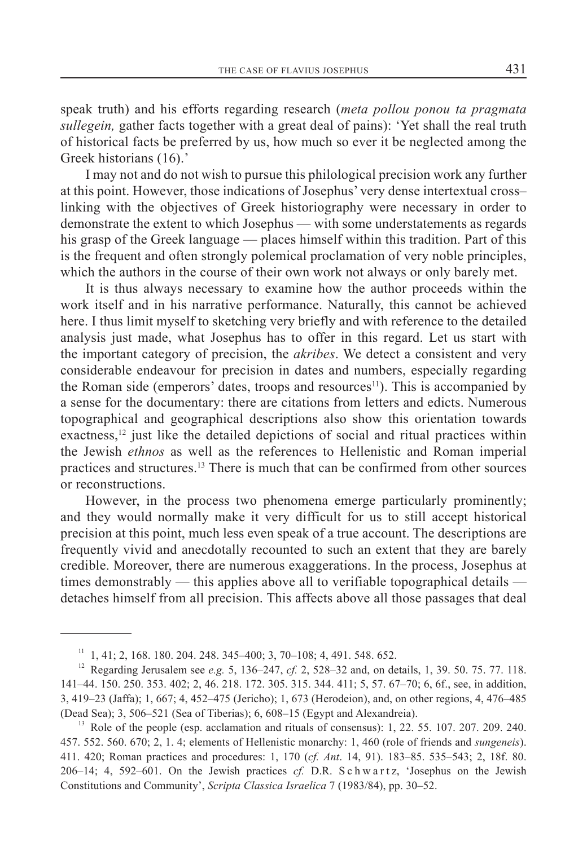speak truth) and his efforts regarding research (*meta pollou ponou ta pragmata sullegein,* gather facts together with a great deal of pains): 'Yet shall the real truth of historical facts be preferred by us, how much so ever it be neglected among the Greek historians (16).'

I may not and do not wish to pursue this philological precision work any further at this point. However, those indications of Josephus' very dense intertextual cross– linking with the objectives of Greek historiography were necessary in order to demonstrate the extent to which Josephus — with some understatements as regards his grasp of the Greek language — places himself within this tradition. Part of this is the frequent and often strongly polemical proclamation of very noble principles, which the authors in the course of their own work not always or only barely met.

It is thus always necessary to examine how the author proceeds within the work itself and in his narrative performance. Naturally, this cannot be achieved here. I thus limit myself to sketching very briefly and with reference to the detailed analysis just made, what Josephus has to offer in this regard. Let us start with the important category of precision, the *akribes*. We detect a consistent and very considerable endeavour for precision in dates and numbers, especially regarding the Roman side (emperors' dates, troops and resources<sup>11</sup>). This is accompanied by a sense for the documentary: there are citations from letters and edicts. Numerous topographical and geographical descriptions also show this orientation towards exactness, $\frac{12}{12}$  just like the detailed depictions of social and ritual practices within the Jewish *ethnos* as well as the references to Hellenistic and Roman imperial practices and structures.13 There is much that can be confirmed from other sources or reconstructions.

However, in the process two phenomena emerge particularly prominently; and they would normally make it very difficult for us to still accept historical precision at this point, much less even speak of a true account. The descriptions are frequently vivid and anecdotally recounted to such an extent that they are barely credible. Moreover, there are numerous exaggerations. In the process, Josephus at times demonstrably — this applies above all to verifiable topographical details detaches himself from all precision. This affects above all those passages that deal

 $11$  1, 41; 2, 168. 180. 204. 248. 345–400; 3, 70–108; 4, 491. 548. 652.

<sup>12</sup> Regarding Jerusalem see *e.g.* 5, 136–247, *cf.* 2, 528–32 and, on details, 1, 39. 50. 75. 77. 118. 141–44. 150. 250. 353. 402; 2, 46. 218. 172. 305. 315. 344. 411; 5, 57. 67–70; 6, 6f., see, in addition, 3, 419–23 (Jaffa); 1, 667; 4, 452–475 (Jericho); 1, 673 (Herodeion), and, on other regions, 4, 476–485 (Dead Sea); 3, 506–521 (Sea of Tiberias); 6, 608–15 (Egypt and Alexandreia).

<sup>&</sup>lt;sup>13</sup> Role of the people (esp. acclamation and rituals of consensus): 1, 22. 55. 107. 207. 209. 240. 457. 552. 560. 670; 2, 1. 4; elements of Hellenistic monarchy: 1, 460 (role of friends and *sungeneis*). 411. 420; Roman practices and procedures: 1, 170 (*cf. Ant*. 14, 91). 183–85. 535–543; 2, 18f. 80. 206–14; 4, 592–601. On the Jewish practices *cf.* D.R. S c h w a r t z, 'Josephus on the Jewish Constitutions and Community', *Scripta Classica Israelica* 7 (1983/84), pp. 30–52.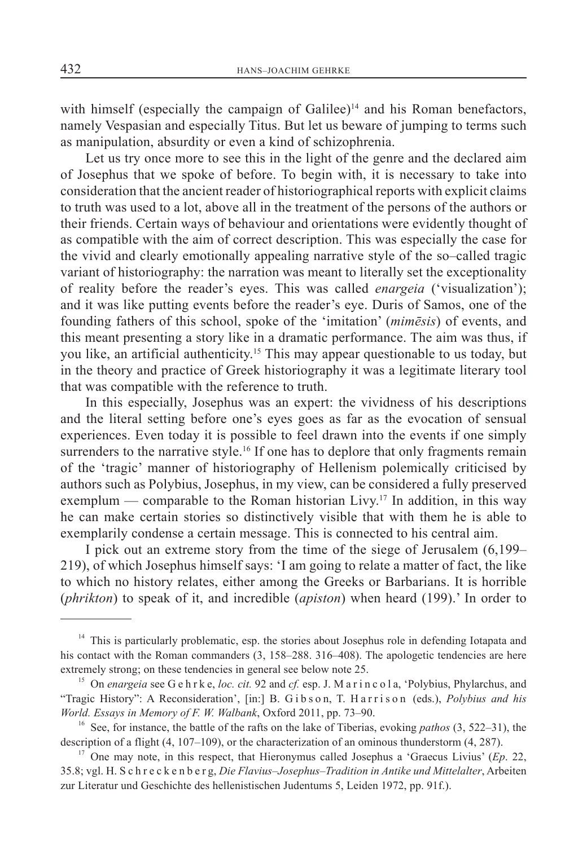with himself (especially the campaign of Galilee)<sup>14</sup> and his Roman benefactors, namely Vespasian and especially Titus. But let us beware of jumping to terms such as manipulation, absurdity or even a kind of schizophrenia.

Let us try once more to see this in the light of the genre and the declared aim of Josephus that we spoke of before. To begin with, it is necessary to take into consideration that the ancient reader of historiographical reports with explicit claims to truth was used to a lot, above all in the treatment of the persons of the authors or their friends. Certain ways of behaviour and orientations were evidently thought of as compatible with the aim of correct description. This was especially the case for the vivid and clearly emotionally appealing narrative style of the so–called tragic variant of historiography: the narration was meant to literally set the exceptionality of reality before the reader's eyes. This was called *enargeia* ('visualization'); and it was like putting events before the reader's eye. Duris of Samos, one of the founding fathers of this school, spoke of the 'imitation' (*mimēsis*) of events, and this meant presenting a story like in a dramatic performance. The aim was thus, if you like, an artificial authenticity.15 This may appear questionable to us today, but in the theory and practice of Greek historiography it was a legitimate literary tool that was compatible with the reference to truth.

In this especially, Josephus was an expert: the vividness of his descriptions and the literal setting before one's eyes goes as far as the evocation of sensual experiences. Even today it is possible to feel drawn into the events if one simply surrenders to the narrative style.<sup>16</sup> If one has to deplore that only fragments remain of the 'tragic' manner of historiography of Hellenism polemically criticised by authors such as Polybius, Josephus, in my view, can be considered a fully preserved exemplum — comparable to the Roman historian Livy.<sup>17</sup> In addition, in this way he can make certain stories so distinctively visible that with them he is able to exemplarily condense a certain message. This is connected to his central aim.

I pick out an extreme story from the time of the siege of Jerusalem (6,199– 219), of which Josephus himself says: 'I am going to relate a matter of fact, the like to which no history relates, either among the Greeks or Barbarians. It is horrible (*phrikton*) to speak of it, and incredible (*apiston*) when heard (199).' In order to

<sup>&</sup>lt;sup>14</sup> This is particularly problematic, esp. the stories about Josephus role in defending Iotapata and his contact with the Roman commanders (3, 158–288. 316–408). The apologetic tendencies are here extremely strong; on these tendencies in general see below note 25.

<sup>&</sup>lt;sup>15</sup> On *enargeia* see G e h r k e, *loc. cit.* 92 and *cf.* esp. J. M a r i n c o l a, 'Polybius, Phylarchus, and "Tragic History": A Reconsideration', [in:] B. G i b s o n, T. H a r r i s o n (eds.), *Polybius and his World. Essays in Memory of F. W. Walbank*, Oxford 2011, pp. 73–90.

<sup>16</sup> See, for instance, the battle of the rafts on the lake of Tiberias, evoking *pathos* (3, 522–31), the description of a flight (4, 107–109), or the characterization of an ominous thunderstorm (4, 287).

<sup>&</sup>lt;sup>17</sup> One may note, in this respect, that Hieronymus called Josephus a 'Graecus Livius' (*Ep.* 22, 35.8; vgl. H. S c h r e c k e n b e r g, *Die Flavius–Josephus–Tradition in Antike und Mittelalter*, Arbeiten zur Literatur und Geschichte des hellenistischen Judentums 5, Leiden 1972, pp. 91f.).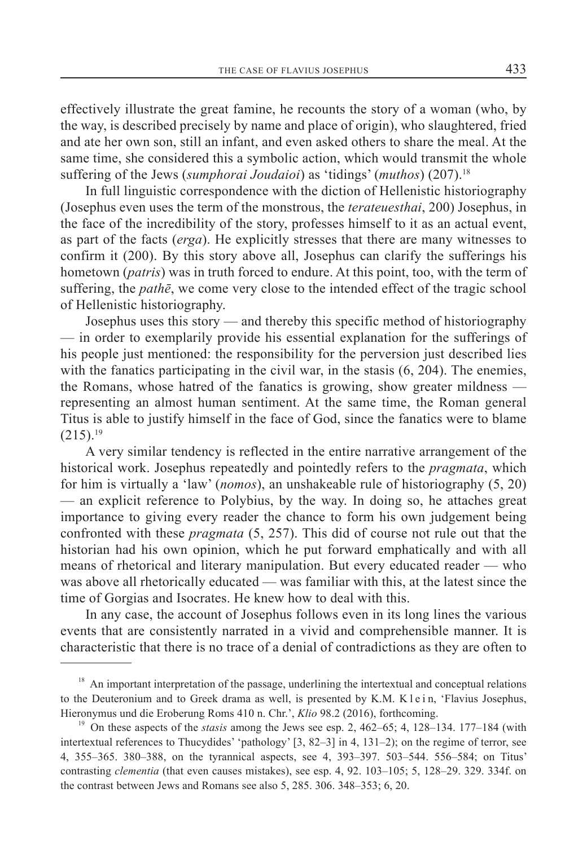effectively illustrate the great famine, he recounts the story of a woman (who, by the way, is described precisely by name and place of origin), who slaughtered, fried and ate her own son, still an infant, and even asked others to share the meal. At the same time, she considered this a symbolic action, which would transmit the whole suffering of the Jews (*sumphorai Joudaioi*) as 'tidings' (*muthos*) (207).18

In full linguistic correspondence with the diction of Hellenistic historiography (Josephus even uses the term of the monstrous, the *terateuesthai*, 200) Josephus, in the face of the incredibility of the story, professes himself to it as an actual event, as part of the facts (*erga*). He explicitly stresses that there are many witnesses to confirm it (200). By this story above all, Josephus can clarify the sufferings his hometown (*patris*) was in truth forced to endure. At this point, too, with the term of suffering, the *pathē*, we come very close to the intended effect of the tragic school of Hellenistic historiography.

Josephus uses this story — and thereby this specific method of historiography — in order to exemplarily provide his essential explanation for the sufferings of his people just mentioned: the responsibility for the perversion just described lies with the fanatics participating in the civil war, in the stasis  $(6, 204)$ . The enemies, the Romans, whose hatred of the fanatics is growing, show greater mildness representing an almost human sentiment. At the same time, the Roman general Titus is able to justify himself in the face of God, since the fanatics were to blame  $(215).^{19}$ 

A very similar tendency is reflected in the entire narrative arrangement of the historical work. Josephus repeatedly and pointedly refers to the *pragmata*, which for him is virtually a 'law' (*nomos*), an unshakeable rule of historiography (5, 20) — an explicit reference to Polybius, by the way. In doing so, he attaches great importance to giving every reader the chance to form his own judgement being confronted with these *pragmata* (5, 257). This did of course not rule out that the historian had his own opinion, which he put forward emphatically and with all means of rhetorical and literary manipulation. But every educated reader — who was above all rhetorically educated — was familiar with this, at the latest since the time of Gorgias and Isocrates. He knew how to deal with this.

In any case, the account of Josephus follows even in its long lines the various events that are consistently narrated in a vivid and comprehensible manner. It is characteristic that there is no trace of a denial of contradictions as they are often to

<sup>&</sup>lt;sup>18</sup> An important interpretation of the passage, underlining the intertextual and conceptual relations to the Deuteronium and to Greek drama as well, is presented by K.M. K l e in, 'Flavius Josephus, Hieronymus und die Eroberung Roms 410 n. Chr.', *Klio* 98.2 (2016), forthcoming.

<sup>&</sup>lt;sup>19</sup> On these aspects of the *stasis* among the Jews see esp. 2, 462–65; 4, 128–134. 177–184 (with intertextual references to Thucydides' 'pathology' [3, 82–3] in 4, 131–2); on the regime of terror, see 4, 355–365. 380–388, on the tyrannical aspects, see 4, 393–397. 503–544. 556–584; on Titus' contrasting *clementia* (that even causes mistakes), see esp. 4, 92. 103–105; 5, 128–29. 329. 334f. on the contrast between Jews and Romans see also 5, 285. 306. 348–353; 6, 20.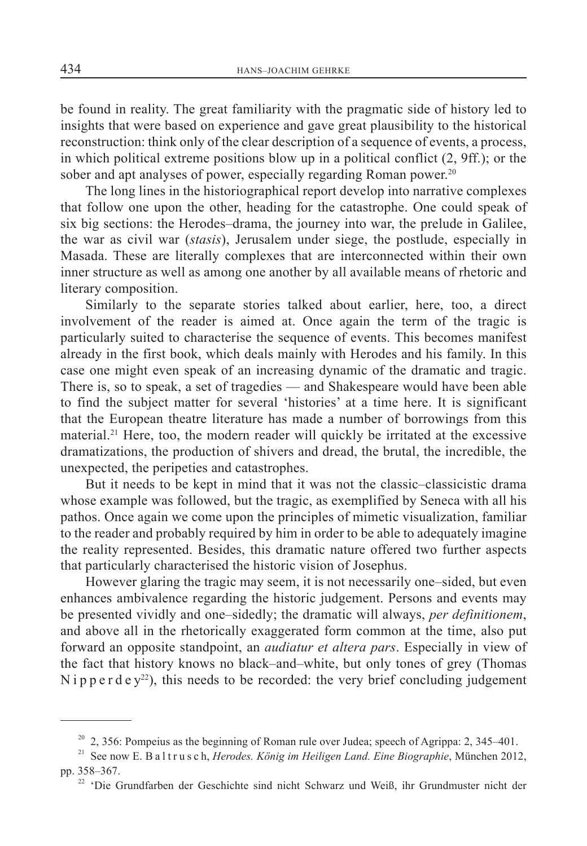be found in reality. The great familiarity with the pragmatic side of history led to insights that were based on experience and gave great plausibility to the historical reconstruction: think only of the clear description of a sequence of events, a process, in which political extreme positions blow up in a political conflict (2, 9ff.); or the sober and apt analyses of power, especially regarding Roman power.<sup>20</sup>

The long lines in the historiographical report develop into narrative complexes that follow one upon the other, heading for the catastrophe. One could speak of six big sections: the Herodes–drama, the journey into war, the prelude in Galilee, the war as civil war (*stasis*), Jerusalem under siege, the postlude, especially in Masada. These are literally complexes that are interconnected within their own inner structure as well as among one another by all available means of rhetoric and literary composition.

Similarly to the separate stories talked about earlier, here, too, a direct involvement of the reader is aimed at. Once again the term of the tragic is particularly suited to characterise the sequence of events. This becomes manifest already in the first book, which deals mainly with Herodes and his family. In this case one might even speak of an increasing dynamic of the dramatic and tragic. There is, so to speak, a set of tragedies — and Shakespeare would have been able to find the subject matter for several 'histories' at a time here. It is significant that the European theatre literature has made a number of borrowings from this material.<sup>21</sup> Here, too, the modern reader will quickly be irritated at the excessive dramatizations, the production of shivers and dread, the brutal, the incredible, the unexpected, the peripeties and catastrophes.

But it needs to be kept in mind that it was not the classic–classicistic drama whose example was followed, but the tragic, as exemplified by Seneca with all his pathos. Once again we come upon the principles of mimetic visualization, familiar to the reader and probably required by him in order to be able to adequately imagine the reality represented. Besides, this dramatic nature offered two further aspects that particularly characterised the historic vision of Josephus.

However glaring the tragic may seem, it is not necessarily one–sided, but even enhances ambivalence regarding the historic judgement. Persons and events may be presented vividly and one–sidedly; the dramatic will always, *per definitionem*, and above all in the rhetorically exaggerated form common at the time, also put forward an opposite standpoint, an *audiatur et altera pars*. Especially in view of the fact that history knows no black–and–white, but only tones of grey (Thomas Nipperdey<sup>22</sup>), this needs to be recorded: the very brief concluding judgement

 $20$  2, 356: Pompeius as the beginning of Roman rule over Judea; speech of Agrippa: 2, 345–401.

<sup>&</sup>lt;sup>21</sup> See now E. B a l t r u s c h, *Herodes. König im Heiligen Land. Eine Biographie*, München 2012, pp. 358–367.

<sup>&</sup>lt;sup>22</sup> 'Die Grundfarben der Geschichte sind nicht Schwarz und Weiß, ihr Grundmuster nicht der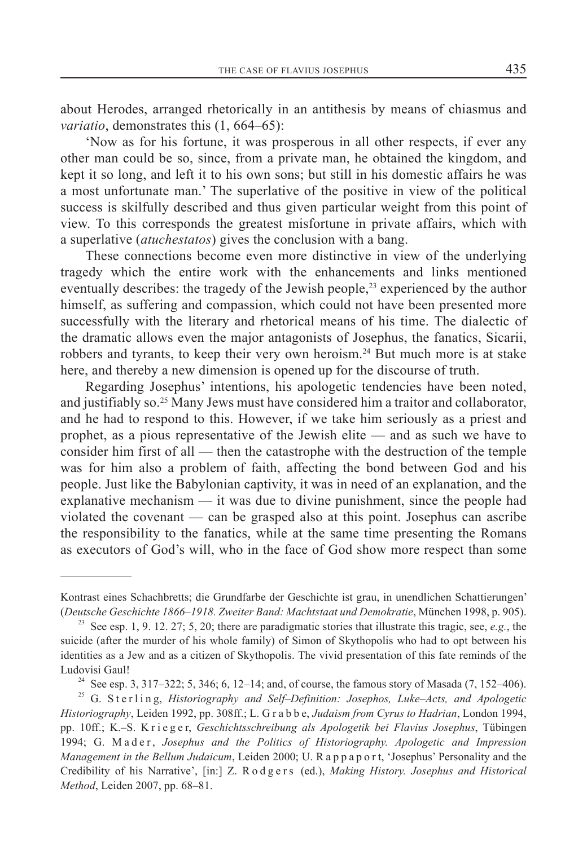about Herodes, arranged rhetorically in an antithesis by means of chiasmus and *variatio*, demonstrates this (1, 664–65):

'Now as for his fortune, it was prosperous in all other respects, if ever any other man could be so, since, from a private man, he obtained the kingdom, and kept it so long, and left it to his own sons; but still in his domestic affairs he was a most unfortunate man.' The superlative of the positive in view of the political success is skilfully described and thus given particular weight from this point of view. To this corresponds the greatest misfortune in private affairs, which with a superlative (*atuchestatos*) gives the conclusion with a bang.

These connections become even more distinctive in view of the underlying tragedy which the entire work with the enhancements and links mentioned eventually describes: the tragedy of the Jewish people, $^{23}$  experienced by the author himself, as suffering and compassion, which could not have been presented more successfully with the literary and rhetorical means of his time. The dialectic of the dramatic allows even the major antagonists of Josephus, the fanatics, Sicarii, robbers and tyrants, to keep their very own heroism.24 But much more is at stake here, and thereby a new dimension is opened up for the discourse of truth.

Regarding Josephus' intentions, his apologetic tendencies have been noted, and justifiably so.25 Many Jews must have considered him a traitor and collaborator, and he had to respond to this. However, if we take him seriously as a priest and prophet, as a pious representative of the Jewish elite — and as such we have to consider him first of all — then the catastrophe with the destruction of the temple was for him also a problem of faith, affecting the bond between God and his people. Just like the Babylonian captivity, it was in need of an explanation, and the explanative mechanism — it was due to divine punishment, since the people had violated the covenant — can be grasped also at this point. Josephus can ascribe the responsibility to the fanatics, while at the same time presenting the Romans as executors of God's will, who in the face of God show more respect than some

<sup>24</sup> See esp. 3, 317–322; 5, 346; 6, 12–14; and, of course, the famous story of Masada (7, 152–406).

Kontrast eines Schachbretts; die Grundfarbe der Geschichte ist grau, in unendlichen Schattierungen' (*Deutsche Geschichte 1866–1918. Zweiter Band: Machtstaat und Demokratie*, München 1998, p. 905).

<sup>&</sup>lt;sup>23</sup> See esp. 1, 9. 12. 27; 5, 20; there are paradigmatic stories that illustrate this tragic, see,  $e.g.,$  the suicide (after the murder of his whole family) of Simon of Skythopolis who had to opt between his identities as a Jew and as a citizen of Skythopolis. The vivid presentation of this fate reminds of the Ludovisi Gaul!

<sup>&</sup>lt;sup>25</sup> G. Sterling, *Historiography and Self-Definition: Josephos, Luke-Acts, and Apologetic Historiography*, Leiden 1992, pp. 308ff.; L. G r a b b e, *Judaism from Cyrus to Hadrian*, London 1994, pp. 10ff.; K.–S. K r i e g e r, *Geschichtsschreibung als Apologetik bei Flavius Josephus*, Tübingen 1994; G. Mader, *Josephus and the Politics of Historiography. Apologetic and Impression Management in the Bellum Judaicum*, Leiden 2000; U. R a p p a p o r t, 'Josephus' Personality and the Credibility of his Narrative', [in:] Z. R o d g e r s (ed.), *Making History. Josephus and Historical Method*, Leiden 2007, pp. 68–81.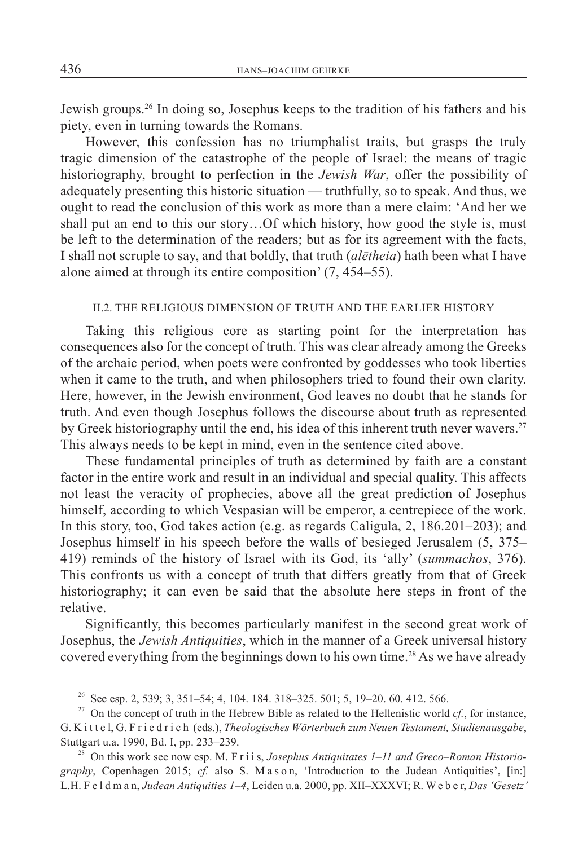Jewish groups.26 In doing so, Josephus keeps to the tradition of his fathers and his piety, even in turning towards the Romans.

However, this confession has no triumphalist traits, but grasps the truly tragic dimension of the catastrophe of the people of Israel: the means of tragic historiography, brought to perfection in the *Jewish War*, offer the possibility of adequately presenting this historic situation — truthfully, so to speak. And thus, we ought to read the conclusion of this work as more than a mere claim: 'And her we shall put an end to this our story…Of which history, how good the style is, must be left to the determination of the readers; but as for its agreement with the facts, I shall not scruple to say, and that boldly, that truth (*alētheia*) hath been what I have alone aimed at through its entire composition' (7, 454–55).

### II.2. THE RELIGIOUS DIMENSION OF TRUTH AND THE EARLIER HISTORY

Taking this religious core as starting point for the interpretation has consequences also for the concept of truth. This was clear already among the Greeks of the archaic period, when poets were confronted by goddesses who took liberties when it came to the truth, and when philosophers tried to found their own clarity. Here, however, in the Jewish environment, God leaves no doubt that he stands for truth. And even though Josephus follows the discourse about truth as represented by Greek historiography until the end, his idea of this inherent truth never wavers.<sup>27</sup> This always needs to be kept in mind, even in the sentence cited above.

These fundamental principles of truth as determined by faith are a constant factor in the entire work and result in an individual and special quality. This affects not least the veracity of prophecies, above all the great prediction of Josephus himself, according to which Vespasian will be emperor, a centrepiece of the work. In this story, too, God takes action (e.g. as regards Caligula, 2, 186.201–203); and Josephus himself in his speech before the walls of besieged Jerusalem (5, 375– 419) reminds of the history of Israel with its God, its 'ally' (*summachos*, 376). This confronts us with a concept of truth that differs greatly from that of Greek historiography; it can even be said that the absolute here steps in front of the relative.

Significantly, this becomes particularly manifest in the second great work of Josephus, the *Jewish Antiquities*, which in the manner of a Greek universal history covered everything from the beginnings down to his own time.<sup>28</sup> As we have already

<sup>&</sup>lt;sup>26</sup> See esp. 2, 539; 3, 351–54; 4, 104. 184. 318–325. 501; 5, 19–20. 60. 412. 566.

<sup>&</sup>lt;sup>27</sup> On the concept of truth in the Hebrew Bible as related to the Hellenistic world  $cf.$ , for instance, G. K i t t e l, G. F r i e d r i c h (eds.), *Theologisches Wörterbuch zum Neuen Testament, Studienausgabe*, Stuttgart u.a. 1990, Bd. I, pp. 233–239.

<sup>&</sup>lt;sup>28</sup> On this work see now esp. M. F r i i s, *Josephus Antiquitates 1–11 and Greco–Roman Historiography*, Copenhagen 2015; *cf.* also S. M a s o n, 'Introduction to the Judean Antiquities', [in:] L.H. F e l d m a n, *Judean Antiquities 1–4*, Leiden u.a. 2000, pp. XII–XXXVI; R. We b e r, *Das 'Gesetz'*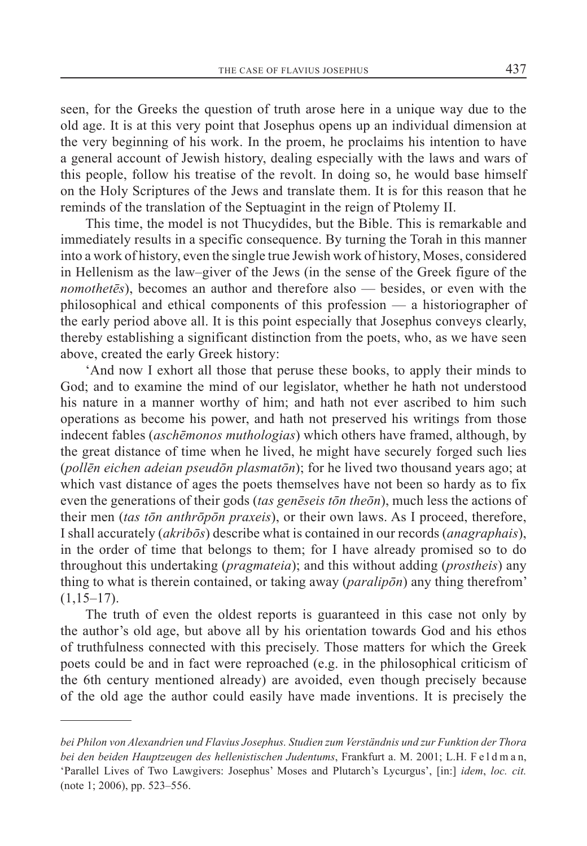seen, for the Greeks the question of truth arose here in a unique way due to the old age. It is at this very point that Josephus opens up an individual dimension at the very beginning of his work. In the proem, he proclaims his intention to have a general account of Jewish history, dealing especially with the laws and wars of this people, follow his treatise of the revolt. In doing so, he would base himself on the Holy Scriptures of the Jews and translate them. It is for this reason that he reminds of the translation of the Septuagint in the reign of Ptolemy II.

This time, the model is not Thucydides, but the Bible. This is remarkable and immediately results in a specific consequence. By turning the Torah in this manner into a work of history, even the single true Jewish work of history, Moses, considered in Hellenism as the law–giver of the Jews (in the sense of the Greek figure of the *nomothetēs*), becomes an author and therefore also — besides, or even with the philosophical and ethical components of this profession — a historiographer of the early period above all. It is this point especially that Josephus conveys clearly, thereby establishing a significant distinction from the poets, who, as we have seen above, created the early Greek history:

'And now I exhort all those that peruse these books, to apply their minds to God; and to examine the mind of our legislator, whether he hath not understood his nature in a manner worthy of him; and hath not ever ascribed to him such operations as become his power, and hath not preserved his writings from those indecent fables (*aschēmonos muthologias*) which others have framed, although, by the great distance of time when he lived, he might have securely forged such lies (*pollēn eichen adeian pseudōn plasmatōn*); for he lived two thousand years ago; at which vast distance of ages the poets themselves have not been so hardy as to fix even the generations of their gods (*tas genēseis tōn theōn*), much less the actions of their men (*tas tōn anthrōpōn praxeis*), or their own laws. As I proceed, therefore, I shall accurately (*akribōs*) describe what is contained in our records (*anagraphais*), in the order of time that belongs to them; for I have already promised so to do throughout this undertaking (*pragmateia*); and this without adding (*prostheis*) any thing to what is therein contained, or taking away (*paralipōn*) any thing therefrom'  $(1,15-17)$ .

The truth of even the oldest reports is guaranteed in this case not only by the author's old age, but above all by his orientation towards God and his ethos of truthfulness connected with this precisely. Those matters for which the Greek poets could be and in fact were reproached (e.g. in the philosophical criticism of the 6th century mentioned already) are avoided, even though precisely because of the old age the author could easily have made inventions. It is precisely the

*bei Philon von Alexandrien und Flavius Josephus. Studien zum Verständnis und zur Funktion der Thora bei den beiden Hauptzeugen des hellenistischen Judentums*, Frankfurt a. M. 2001; L.H. F e l d m a n, 'Parallel Lives of Two Lawgivers: Josephus' Moses and Plutarch's Lycurgus', [in:] *idem*, *loc. cit.*  (note 1; 2006), pp. 523–556.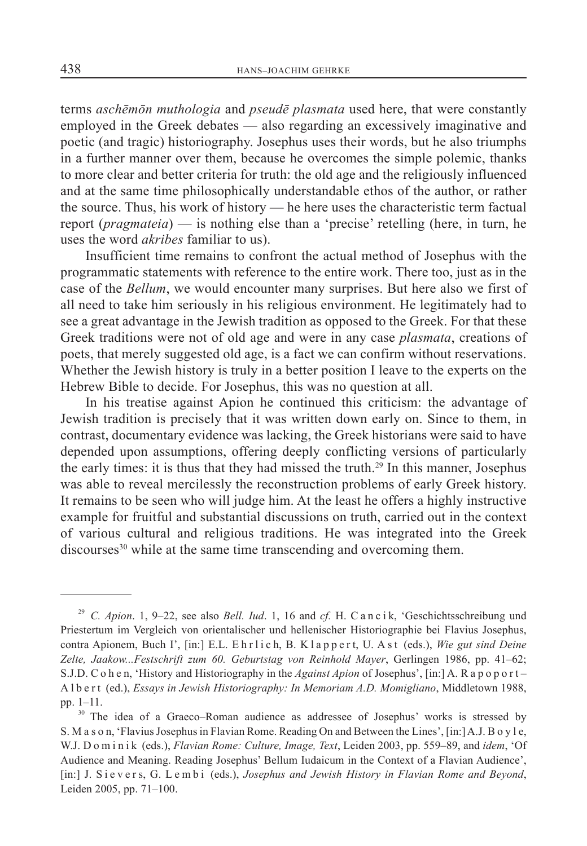terms *aschēmōn muthologia* and *pseudē plasmata* used here, that were constantly employed in the Greek debates — also regarding an excessively imaginative and poetic (and tragic) historiography. Josephus uses their words, but he also triumphs in a further manner over them, because he overcomes the simple polemic, thanks to more clear and better criteria for truth: the old age and the religiously influenced and at the same time philosophically understandable ethos of the author, or rather the source. Thus, his work of history — he here uses the characteristic term factual report (*pragmateia*) — is nothing else than a 'precise' retelling (here, in turn, he uses the word *akribes* familiar to us).

Insufficient time remains to confront the actual method of Josephus with the programmatic statements with reference to the entire work. There too, just as in the case of the *Bellum*, we would encounter many surprises. But here also we first of all need to take him seriously in his religious environment. He legitimately had to see a great advantage in the Jewish tradition as opposed to the Greek. For that these Greek traditions were not of old age and were in any case *plasmata*, creations of poets, that merely suggested old age, is a fact we can confirm without reservations. Whether the Jewish history is truly in a better position I leave to the experts on the Hebrew Bible to decide. For Josephus, this was no question at all.

In his treatise against Apion he continued this criticism: the advantage of Jewish tradition is precisely that it was written down early on. Since to them, in contrast, documentary evidence was lacking, the Greek historians were said to have depended upon assumptions, offering deeply conflicting versions of particularly the early times: it is thus that they had missed the truth.<sup>29</sup> In this manner, Josephus was able to reveal mercilessly the reconstruction problems of early Greek history. It remains to be seen who will judge him. At the least he offers a highly instructive example for fruitful and substantial discussions on truth, carried out in the context of various cultural and religious traditions. He was integrated into the Greek  $discourse<sup>30</sup>$  while at the same time transcending and overcoming them.

<sup>29</sup> *C. Apion*. 1, 9–22, see also *Bell. Iud*. 1, 16 and *cf.* H. C a n c i k, 'Geschichtsschreibung und Priestertum im Vergleich von orientalischer und hellenischer Historiographie bei Flavius Josephus, contra Apionem, Buch I', [in:] E.L. E h r l i c h, B. K l a p p e r t, U. A s t (eds.), *Wie gut sind Deine Zelte, Jaakow...Festschrift zum 60. Geburtstag von Reinhold Mayer*, Gerlingen 1986, pp. 41–62; S.J.D. C o h e n, 'History and Historiography in the *Against Apion* of Josephus', [in:] A. R a p o p o r t – A l b e r t (ed.), *Essays in Jewish Historiography: In Memoriam A.D. Momigliano*, Middletown 1988, pp. 1–11.

<sup>&</sup>lt;sup>30</sup> The idea of a Graeco–Roman audience as addressee of Josephus' works is stressed by S. M a s o n, 'Flavius Josephus in Flavian Rome. Reading On and Between the Lines', [in:] A.J. B o y l e, W.J. D o m i n i k (eds.), *Flavian Rome: Culture, Image, Text*, Leiden 2003, pp. 559–89, and *idem*, 'Of Audience and Meaning. Reading Josephus' Bellum Iudaicum in the Context of a Flavian Audience', [in:] J. S i e v e r s, G. L e m b i (eds.), *Josephus and Jewish History in Flavian Rome and Beyond*, Leiden 2005, pp. 71–100.